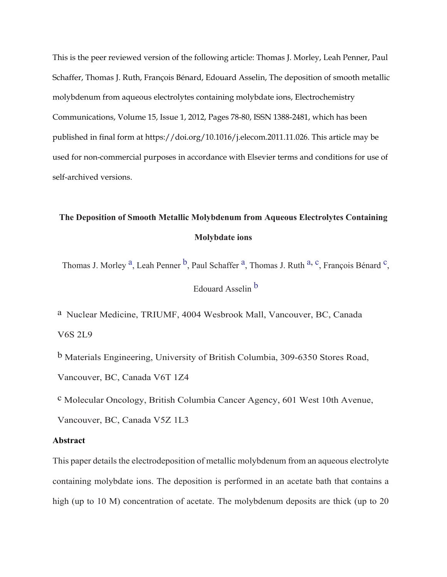This is the peer reviewed version of the following article: Thomas J. Morley, Leah Penner, Paul Schaffer, Thomas J. Ruth, François Bénard, Edouard Asselin, The deposition of smooth metallic molybdenum from aqueous electrolytes containing molybdate ions, Electrochemistry Communications, Volume 15, Issue 1, 2012, Pages 78-80, ISSN 1388-2481, which has been published in final form at https://doi.org/10.1016/j.elecom.2011.11.026. This article may be used for non-commercial purposes in accordance with Elsevier terms and conditions for use of self-archived versions.

# **The Deposition of Smooth Metallic Molybdenum from Aqueous Electrolytes Containing Molybdate ions**

Thomas J. Morley <sup>a</sup>, Leah Penner <sup>b</sup>, Paul Schaffer <sup>a</sup>, Thomas J. Ruth <sup>[a,](#page-0-0) c</sup>, François Bénard <sup>c</sup>,

Edouard Asselin [b](#page-0-1)

<span id="page-0-1"></span><span id="page-0-0"></span>a Nuclear Medicine, TRIUMF, 4004 Wesbrook Mall, Vancouver, BC, Canada V6S 2L9

<span id="page-0-2"></span>b Materials Engineering, University of British Columbia, 309-6350 Stores Road, Vancouver, BC, Canada V6T 1Z4

c Molecular Oncology, British Columbia Cancer Agency, 601 West 10th Avenue,

Vancouver, BC, Canada V5Z 1L3

# **Abstract**

This paper details the electrodeposition of metallic molybdenum from an aqueous electrolyte containing molybdate ions. The deposition is performed in an acetate bath that contains a high (up to 10 M) concentration of acetate. The molybdenum deposits are thick (up to 20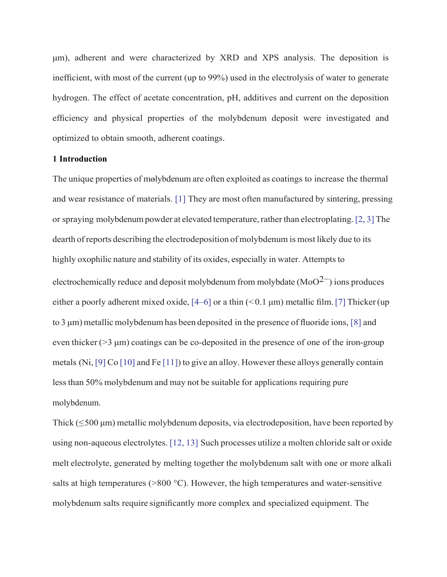μm), adherent and were characterized by XRD and XPS analysis. The deposition is inefficient, with most of the current (up to 99%) used in the electrolysis of water to generate hydrogen. The effect of acetate concentration, pH, additives and current on the deposition efficiency and physical properties of the molybdenum deposit were investigated and optimized to obtain smooth, adherent coatings.

# **1 Introduction**

The unique properties of molybdenum are often exploited as coatings to increase the thermal and wear resistance of materials. [1] They are most often manufactured by sintering, pressing or spraying molybdenum powder at elevated temperature, rather than electroplating.  $[2, 3]$  The dearth ofreports describing the electrodeposition of molybdenum is most likely due to its highly oxophilic nature and stability of its oxides, especially in water. Attempts to electrochemically reduce and deposit molybdenum from molybdate (MoO<sup>2–</sup>) ions produces either a poorly adherent mixed oxide,  $[4–6]$  or a thin  $(< 0.1 \mu m)$  metallic film. [7] Thicker (up to 3  $\mu$ m) metallic molybdenum has been deposited in the presence of fluoride ions, [8] and even thicker  $(>3 \mu m)$  coatings can be co-deposited in the presence of one of the iron-group metals (Ni, [9] Co [10] and Fe [11]) to give an alloy. However these alloys generally contain lessthan 50% molybdenum and may not be suitable for applications requiring pure molybdenum.

Thick ( $\leq$ 500 µm) metallic molybdenum deposits, via electrodeposition, have been reported by using non-aqueous electrolytes. [12, 13] Such processes utilize a molten chloride salt or oxide melt electrolyte, generated by melting together the molybdenum salt with one or more alkali salts at high temperatures ( $>800 \degree C$ ). However, the high temperatures and water-sensitive molybdenum salts require significantly more complex and specialized equipment. The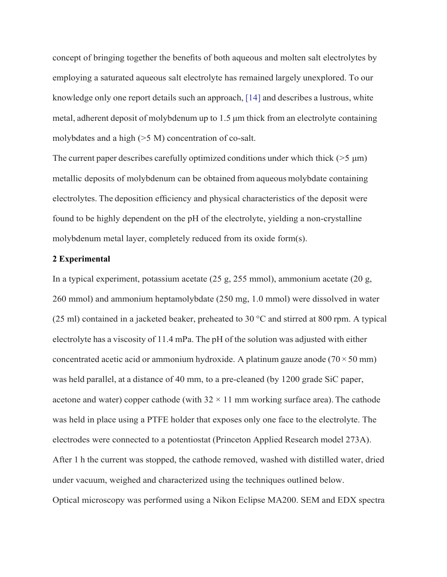concept of bringing together the benefits of both aqueous and molten salt electrolytes by employing a saturated aqueous salt electrolyte has remained largely unexplored. To our knowledge only one report details such an approach, [14] and describes a lustrous, white metal, adherent deposit of molybdenum up to 1.5 μm thick from an electrolyte containing molybdates and a high (>5 M) concentration of co-salt.

The current paper describes carefully optimized conditions under which thick ( $>5 \mu m$ ) metallic deposits of molybdenum can be obtained from aqueous molybdate containing electrolytes. The deposition efficiency and physical characteristics of the deposit were found to be highly dependent on the pH of the electrolyte, yielding a non-crystalline molybdenum metal layer, completely reduced from its oxide form(s).

# **2 Experimental**

In a typical experiment, potassium acetate (25 g, 255 mmol), ammonium acetate (20 g, 260 mmol) and ammonium heptamolybdate (250 mg, 1.0 mmol) were dissolved in water (25 ml) contained in a jacketed beaker, preheated to 30  $^{\circ}$ C and stirred at 800 rpm. A typical electrolyte has a viscosity of 11.4 mPa. The pH of the solution was adjusted with either concentrated acetic acid or ammonium hydroxide. A platinum gauze anode ( $70 \times 50$  mm) was held parallel, at a distance of 40 mm, to a pre-cleaned (by 1200 grade SiC paper, acetone and water) copper cathode (with  $32 \times 11$  mm working surface area). The cathode was held in place using a PTFE holder that exposes only one face to the electrolyte. The electrodes were connected to a potentiostat (Princeton Applied Research model 273A). After 1 h the current was stopped, the cathode removed, washed with distilled water, dried under vacuum, weighed and characterized using the techniques outlined below. Optical microscopy was performed using a Nikon Eclipse MA200. SEM and EDX spectra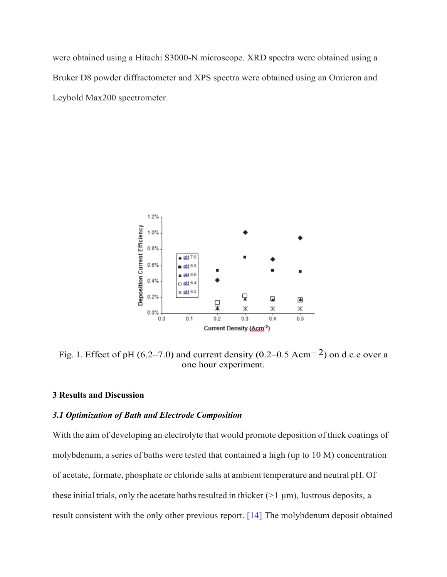were obtained using a Hitachi S3000-N microscope. XRD spectra were obtained using a Bruker D8 powder diffractometer and XPS spectra were obtained using an Omicron and Leybold Max200 spectrometer.



Fig. 1. Effect of pH (6.2–7.0) and current density (0.2–0.5 Acm<sup>-2</sup>) on d.c.e over a one hour experiment.

# **3 Results and Discussion**

# *3.1 Optimization of Bath and Electrode Composition*

With the aim of developing an electrolyte that would promote deposition of thick coatings of molybdenum, a series of baths were tested that contained a high (up to 10 M) concentration of acetate, formate, phosphate or chloride salts at ambient temperature and neutral pH. Of these initial trials, only the acetate baths resulted in thicker ( $>1 \mu$ m), lustrous deposits, a result consistent with the only other previous report. [14] The molybdenum deposit obtained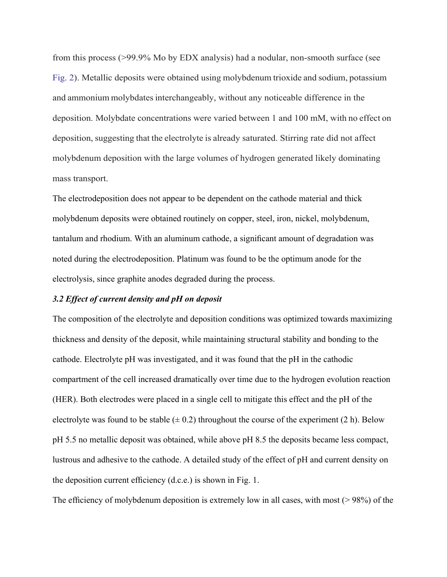from this process (>99.9% Mo by EDX analysis) had a nodular, non-smooth surface (see Fig. 2). Metallic deposits were obtained using molybdenum trioxide and sodium, potassium and ammonium molybdates interchangeably, without any noticeable difference in the deposition. Molybdate concentrations were varied between 1 and 100 mM, with no effect on deposition, suggesting that the electrolyte is already saturated. Stirring rate did not affect molybdenum deposition with the large volumes of hydrogen generated likely dominating mass transport.

The electrodeposition does not appear to be dependent on the cathode material and thick molybdenum deposits were obtained routinely on copper, steel, iron, nickel, molybdenum, tantalum and rhodium. With an aluminum cathode, a significant amount of degradation was noted during the electrodeposition. Platinum was found to be the optimum anode for the electrolysis, since graphite anodes degraded during the process.

#### *3.2 Effect of current density and pH on deposit*

The composition of the electrolyte and deposition conditions was optimized towards maximizing thickness and density of the deposit, while maintaining structural stability and bonding to the cathode. Electrolyte pH was investigated, and it was found that the pH in the cathodic compartment of the cell increased dramatically over time due to the hydrogen evolution reaction (HER). Both electrodes were placed in a single cell to mitigate this effect and the pH of the electrolyte was found to be stable  $(\pm 0.2)$  throughout the course of the experiment (2 h). Below pH 5.5 no metallic deposit was obtained, while above pH 8.5 the deposits became less compact, lustrous and adhesive to the cathode. A detailed study of the effect of pH and current density on the deposition current efficiency (d.c.e.) is shown in Fig. 1.

The efficiency of molybdenum deposition is extremely low in all cases, with most (> 98%) of the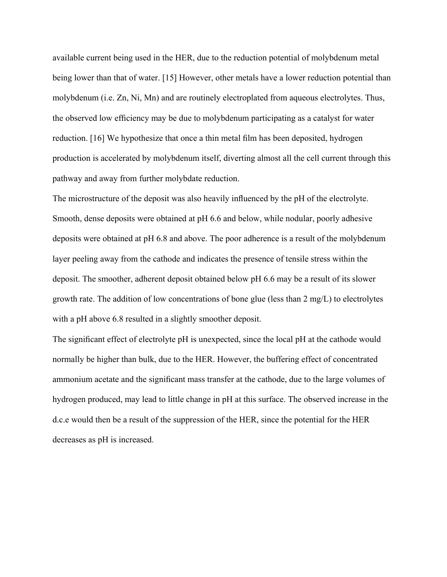available current being used in the HER, due to the reduction potential of molybdenum metal being lower than that of water. [15] However, other metals have a lower reduction potential than molybdenum (i.e. Zn, Ni, Mn) and are routinely electroplated from aqueous electrolytes. Thus, the observed low efficiency may be due to molybdenum participating as a catalyst for water reduction. [16] We hypothesize that once a thin metal film has been deposited, hydrogen production is accelerated by molybdenum itself, diverting almost all the cell current through this pathway and away from further molybdate reduction.

The microstructure of the deposit was also heavily influenced by the pH of the electrolyte. Smooth, dense deposits were obtained at pH 6.6 and below, while nodular, poorly adhesive deposits were obtained at pH 6.8 and above. The poor adherence is a result of the molybdenum layer peeling away from the cathode and indicates the presence of tensile stress within the deposit. The smoother, adherent deposit obtained below pH 6.6 may be a result of its slower growth rate. The addition of low concentrations of bone glue (less than 2 mg/L) to electrolytes with a pH above 6.8 resulted in a slightly smoother deposit.

The significant effect of electrolyte pH is unexpected, since the local pH at the cathode would normally be higher than bulk, due to the HER. However, the buffering effect of concentrated ammonium acetate and the significant mass transfer at the cathode, due to the large volumes of hydrogen produced, may lead to little change in pH at this surface. The observed increase in the d.c.e would then be a result of the suppression of the HER, since the potential for the HER decreases as pH is increased.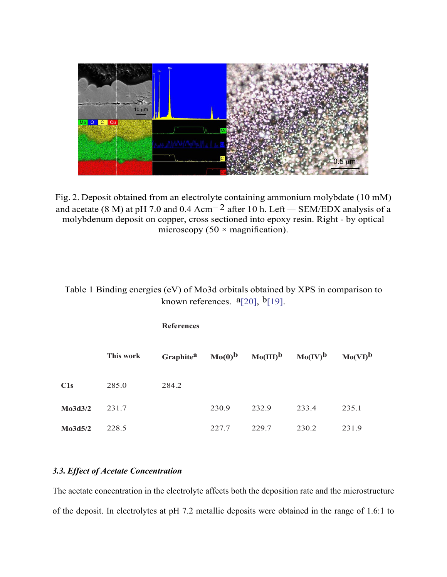

Fig. 2. Deposit obtained from an electrolyte containing ammonium molybdate (10 mM) and acetate (8 M) at pH 7.0 and 0.4  $Acm^{-2}$  after 10 h. Left – SEM/EDX analysis of a molybdenum deposit on copper, cross sectioned into epoxy resin. Right - by optical microscopy  $(50 \times \text{magnification}).$ 

|         |           | <b>References</b>     |             |             |              |              |
|---------|-----------|-----------------------|-------------|-------------|--------------|--------------|
|         | This work | Graphite <sup>a</sup> | $Mo(0)^{b}$ | $Mo(III)^b$ | $Mo(IV)^{b}$ | $Mo(VI)^{b}$ |
| C1s     | 285.0     | 284.2                 |             |             |              |              |
| Mo3d3/2 | 231.7     |                       | 230.9       | 232.9       | 233.4        | 235.1        |
| Mo3d5/2 | 228.5     |                       | 227.7       | 229.7       | 230.2        | 231.9        |
|         |           |                       |             |             |              |              |

| Table 1 Binding energies (eV) of Mo3d orbitals obtained by XPS in comparison to |  |
|---------------------------------------------------------------------------------|--|
| known references. $a$ [20], $b$ [19].                                           |  |

# *3.3. Effect of Acetate Concentration*

The acetate concentration in the electrolyte affects both the deposition rate and the microstructure of the deposit. In electrolytes at pH 7.2 metallic deposits were obtained in the range of 1.6:1 to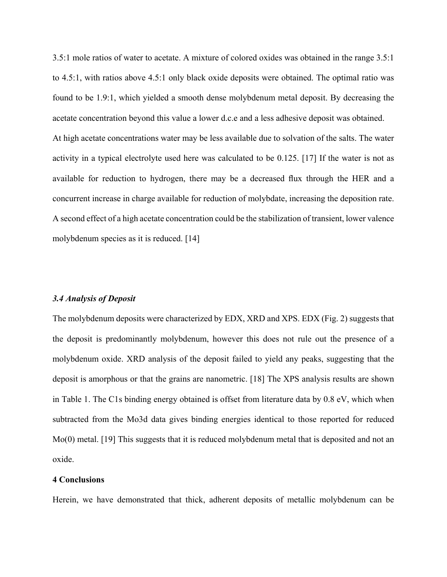3.5:1 mole ratios of water to acetate. A mixture of colored oxides was obtained in the range 3.5:1 to 4.5:1, with ratios above 4.5:1 only black oxide deposits were obtained. The optimal ratio was found to be 1.9:1, which yielded a smooth dense molybdenum metal deposit. By decreasing the acetate concentration beyond this value a lower d.c.e and a less adhesive deposit was obtained. At high acetate concentrations water may be less available due to solvation of the salts. The water activity in a typical electrolyte used here was calculated to be 0.125. [17] If the water is not as available for reduction to hydrogen, there may be a decreased flux through the HER and a concurrent increase in charge available for reduction of molybdate, increasing the deposition rate. A second effect of a high acetate concentration could be the stabilization of transient, lower valence molybdenum species as it is reduced. [14]

# *3.4 Analysis of Deposit*

The molybdenum deposits were characterized by EDX, XRD and XPS. EDX (Fig. 2) suggests that the deposit is predominantly molybdenum, however this does not rule out the presence of a molybdenum oxide. XRD analysis of the deposit failed to yield any peaks, suggesting that the deposit is amorphous or that the grains are nanometric. [18] The XPS analysis results are shown in Table 1. The C1s binding energy obtained is offset from literature data by 0.8 eV, which when subtracted from the Mo3d data gives binding energies identical to those reported for reduced Mo(0) metal. [19] This suggests that it is reduced molybdenum metal that is deposited and not an oxide.

# **4 Conclusions**

Herein, we have demonstrated that thick, adherent deposits of metallic molybdenum can be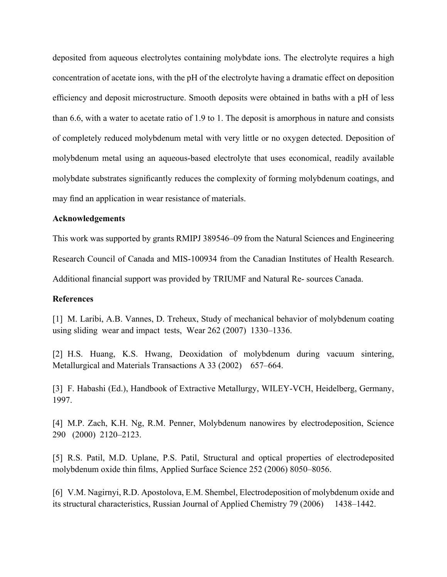deposited from aqueous electrolytes containing molybdate ions. The electrolyte requires a high concentration of acetate ions, with the pH of the electrolyte having a dramatic effect on deposition efficiency and deposit microstructure. Smooth deposits were obtained in baths with a pH of less than 6.6, with a water to acetate ratio of 1.9 to 1. The deposit is amorphous in nature and consists of completely reduced molybdenum metal with very little or no oxygen detected. Deposition of molybdenum metal using an aqueous-based electrolyte that uses economical, readily available molybdate substrates significantly reduces the complexity of forming molybdenum coatings, and may find an application in wear resistance of materials.

# **Acknowledgements**

This work was supported by grants RMIPJ 389546–09 from the Natural Sciences and Engineering

Research Council of Canada and MIS-100934 from the Canadian Institutes of Health Research.

Additional financial support was provided by TRIUMF and Natural Re- sources Canada.

# **References**

[1] M. Laribi, A.B. Vannes, D. Treheux, Study of mechanical behavior of molybdenum coating using sliding wear and impact tests, Wear 262 (2007) 1330–1336.

[2] H.S. Huang, K.S. Hwang, Deoxidation of molybdenum during vacuum sintering, Metallurgical and Materials Transactions A 33 (2002) 657–664.

[3] F. Habashi (Ed.), Handbook of Extractive Metallurgy, WILEY-VCH, Heidelberg, Germany, 1997.

[4] M.P. Zach, K.H. Ng, R.M. Penner, Molybdenum nanowires by electrodeposition, Science 290 (2000) 2120–2123.

[5] R.S. Patil, M.D. Uplane, P.S. Patil, Structural and optical properties of electrodeposited molybdenum oxide thin films, Applied Surface Science 252 (2006) 8050–8056.

[6] V.M. Nagirnyi, R.D. Apostolova, E.M. Shembel, Electrodeposition of molybdenum oxide and its structural characteristics, Russian Journal of Applied Chemistry 79 (2006) 1438–1442.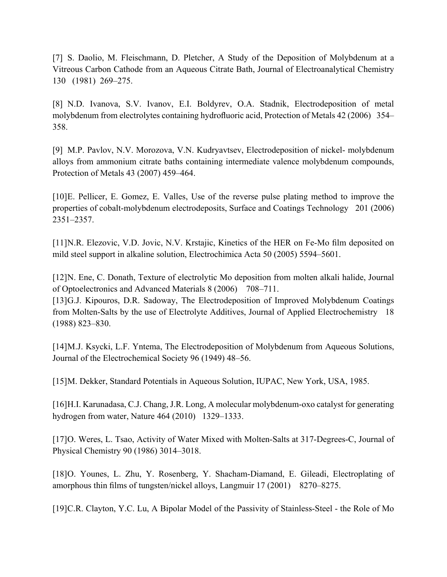[7] S. Daolio, M. Fleischmann, D. Pletcher, A Study of the Deposition of Molybdenum at a Vitreous Carbon Cathode from an Aqueous Citrate Bath, Journal of Electroanalytical Chemistry 130 (1981) 269–275.

[8] N.D. Ivanova, S.V. Ivanov, E.I. Boldyrev, O.A. Stadnik, Electrodeposition of metal molybdenum from electrolytes containing hydrofluoric acid, Protection of Metals 42 (2006) 354– 358.

[9] M.P. Pavlov, N.V. Morozova, V.N. Kudryavtsev, Electrodeposition of nickel- molybdenum alloys from ammonium citrate baths containing intermediate valence molybdenum compounds, Protection of Metals 43 (2007) 459–464.

[10]E. Pellicer, E. Gomez, E. Valles, Use of the reverse pulse plating method to improve the properties of cobalt-molybdenum electrodeposits, Surface and Coatings Technology 201 (2006) 2351–2357.

[11]N.R. Elezovic, V.D. Jovic, N.V. Krstajic, Kinetics of the HER on Fe-Mo film deposited on mild steel support in alkaline solution, Electrochimica Acta 50 (2005) 5594–5601.

[12]N. Ene, C. Donath, Texture of electrolytic Mo deposition from molten alkali halide, Journal of Optoelectronics and Advanced Materials 8 (2006) 708–711.

[13]G.J. Kipouros, D.R. Sadoway, The Electrodeposition of Improved Molybdenum Coatings from Molten-Salts by the use of Electrolyte Additives, Journal of Applied Electrochemistry 18 (1988) 823–830.

[14]M.J. Ksycki, L.F. Yntema, The Electrodeposition of Molybdenum from Aqueous Solutions, Journal of the Electrochemical Society 96 (1949) 48–56.

[15]M. Dekker, Standard Potentials in Aqueous Solution, IUPAC, New York, USA, 1985.

[16]H.I. Karunadasa, C.J. Chang, J.R. Long, A molecular molybdenum-oxo catalyst for generating hydrogen from water, Nature 464 (2010) 1329–1333.

[17]O. Weres, L. Tsao, Activity of Water Mixed with Molten-Salts at 317-Degrees-C, Journal of Physical Chemistry 90 (1986) 3014–3018.

[18]O. Younes, L. Zhu, Y. Rosenberg, Y. Shacham-Diamand, E. Gileadi, Electroplating of amorphous thin films of tungsten/nickel alloys, Langmuir 17 (2001) 8270–8275.

[19]C.R. Clayton, Y.C. Lu, A Bipolar Model of the Passivity of Stainless-Steel - the Role of Mo